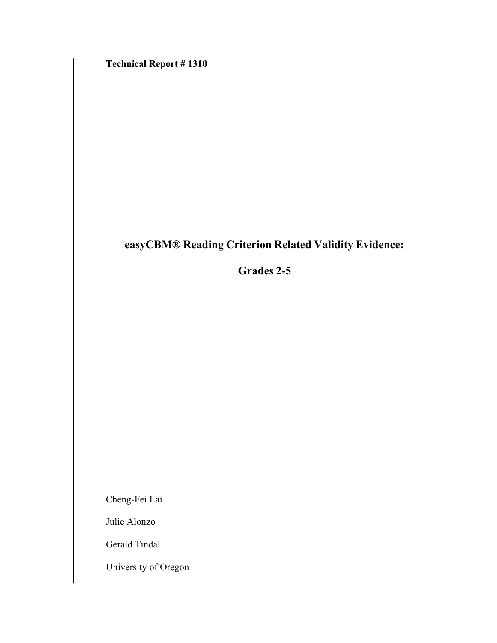**Technical Report # 1310**

# **easyCBM® Reading Criterion Related Validity Evidence:**

**Grades 2-5**

Cheng-Fei Lai

Julie Alonzo

Gerald Tindal

University of Oregon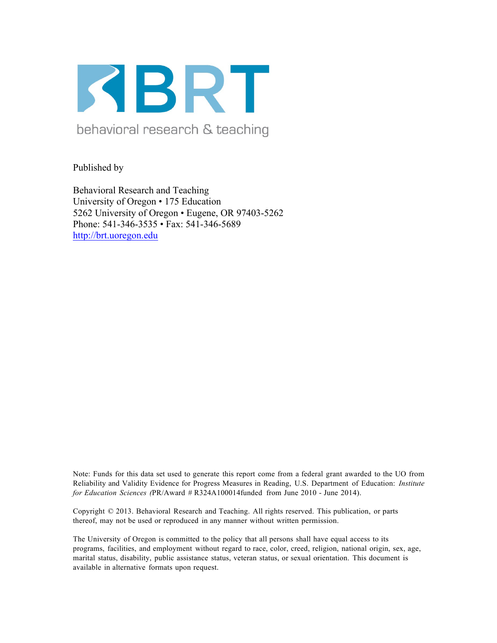

Published by

Behavioral Research and Teaching University of Oregon • 175 Education 5262 University of Oregon • Eugene, OR 97403-5262 Phone: 541-346-3535 • Fax: 541-346-5689 http://brt.uoregon.edu

Note: Funds for this data set used to generate this report come from a federal grant awarded to the UO from Reliability and Validity Evidence for Progress Measures in Reading, U.S. Department of Education: *Institute for Education Sciences (*PR/Award # R324A100014funded from June 2010 - June 2014).

Copyright © 2013. Behavioral Research and Teaching. All rights reserved. This publication, or parts thereof, may not be used or reproduced in any manner without written permission.

The University of Oregon is committed to the policy that all persons shall have equal access to its programs, facilities, and employment without regard to race, color, creed, religion, national origin, sex, age, marital status, disability, public assistance status, veteran status, or sexual orientation. This document is available in alternative formats upon request.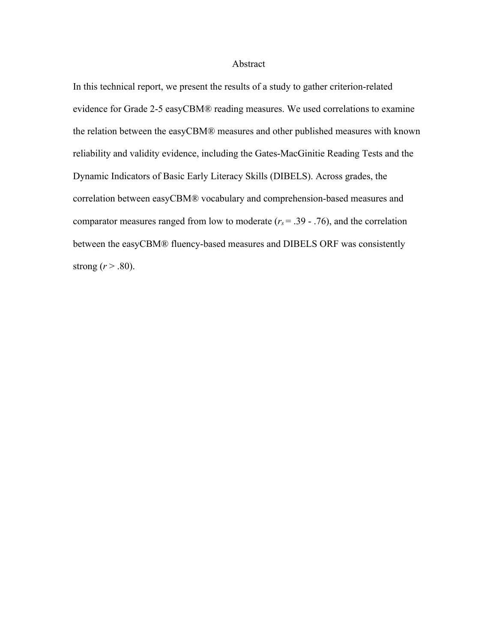#### Abstract

In this technical report, we present the results of a study to gather criterion-related evidence for Grade 2-5 easyCBM® reading measures. We used correlations to examine the relation between the easyCBM® measures and other published measures with known reliability and validity evidence, including the Gates-MacGinitie Reading Tests and the Dynamic Indicators of Basic Early Literacy Skills (DIBELS). Across grades, the correlation between easyCBM® vocabulary and comprehension-based measures and comparator measures ranged from low to moderate  $(r_s = .39 - .76)$ , and the correlation between the easyCBM® fluency-based measures and DIBELS ORF was consistently strong  $(r > .80)$ .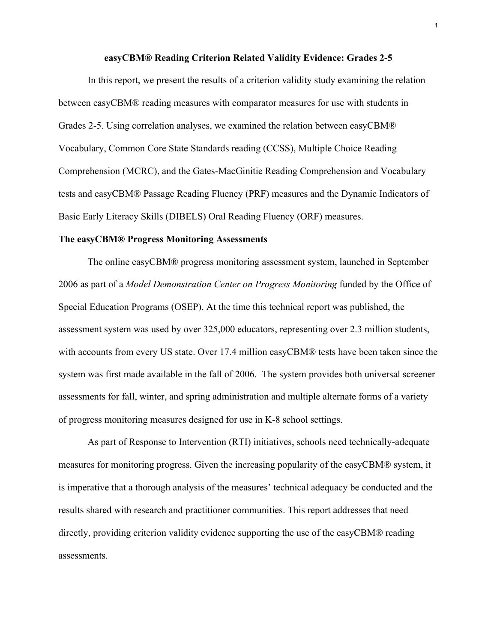#### **easyCBM® Reading Criterion Related Validity Evidence: Grades 2-5**

In this report, we present the results of a criterion validity study examining the relation between easyCBM® reading measures with comparator measures for use with students in Grades 2-5. Using correlation analyses, we examined the relation between easyCBM® Vocabulary, Common Core State Standards reading (CCSS), Multiple Choice Reading Comprehension (MCRC), and the Gates-MacGinitie Reading Comprehension and Vocabulary tests and easyCBM® Passage Reading Fluency (PRF) measures and the Dynamic Indicators of Basic Early Literacy Skills (DIBELS) Oral Reading Fluency (ORF) measures.

#### **The easyCBM® Progress Monitoring Assessments**

The online easyCBM® progress monitoring assessment system, launched in September 2006 as part of a *Model Demonstration Center on Progress Monitoring* funded by the Office of Special Education Programs (OSEP). At the time this technical report was published, the assessment system was used by over 325,000 educators, representing over 2.3 million students, with accounts from every US state. Over 17.4 million easyCBM® tests have been taken since the system was first made available in the fall of 2006. The system provides both universal screener assessments for fall, winter, and spring administration and multiple alternate forms of a variety of progress monitoring measures designed for use in K-8 school settings.

As part of Response to Intervention (RTI) initiatives, schools need technically-adequate measures for monitoring progress. Given the increasing popularity of the easyCBM® system, it is imperative that a thorough analysis of the measures' technical adequacy be conducted and the results shared with research and practitioner communities. This report addresses that need directly, providing criterion validity evidence supporting the use of the easyCBM® reading assessments.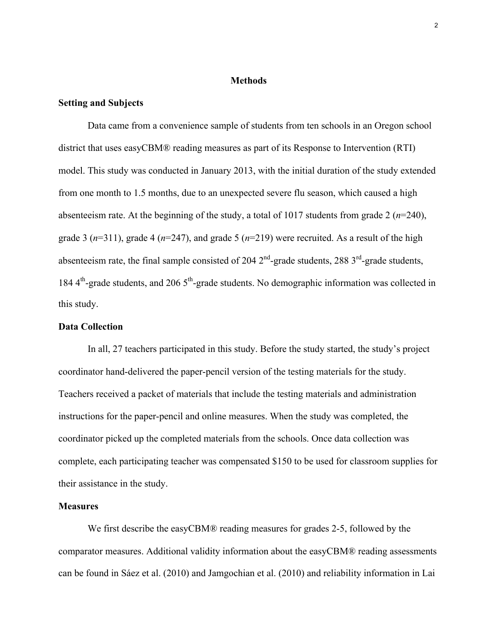#### **Methods**

#### **Setting and Subjects**

Data came from a convenience sample of students from ten schools in an Oregon school district that uses easyCBM® reading measures as part of its Response to Intervention (RTI) model. This study was conducted in January 2013, with the initial duration of the study extended from one month to 1.5 months, due to an unexpected severe flu season, which caused a high absenteeism rate. At the beginning of the study, a total of 1017 students from grade 2 (*n*=240), grade 3 (*n*=311), grade 4 (*n*=247), and grade 5 (*n*=219) were recruited. As a result of the high absenteeism rate, the final sample consisted of 204  $2<sup>nd</sup>$ -grade students, 288  $3<sup>rd</sup>$ -grade students, 184  $4<sup>th</sup>$ -grade students, and 206  $5<sup>th</sup>$ -grade students. No demographic information was collected in this study.

#### **Data Collection**

In all, 27 teachers participated in this study. Before the study started, the study's project coordinator hand-delivered the paper-pencil version of the testing materials for the study. Teachers received a packet of materials that include the testing materials and administration instructions for the paper-pencil and online measures. When the study was completed, the coordinator picked up the completed materials from the schools. Once data collection was complete, each participating teacher was compensated \$150 to be used for classroom supplies for their assistance in the study.

#### **Measures**

We first describe the easyCBM® reading measures for grades 2-5, followed by the comparator measures. Additional validity information about the easyCBM® reading assessments can be found in Sáez et al. (2010) and Jamgochian et al. (2010) and reliability information in Lai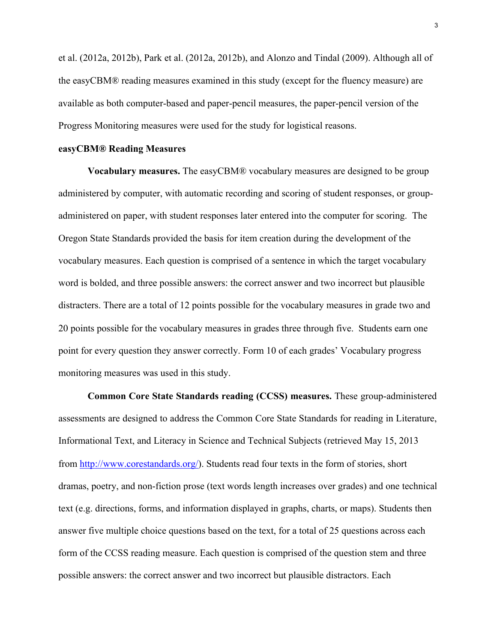et al. (2012a, 2012b), Park et al. (2012a, 2012b), and Alonzo and Tindal (2009). Although all of the easyCBM® reading measures examined in this study (except for the fluency measure) are available as both computer-based and paper-pencil measures, the paper-pencil version of the Progress Monitoring measures were used for the study for logistical reasons.

#### **easyCBM® Reading Measures**

**Vocabulary measures.** The easyCBM® vocabulary measures are designed to be group administered by computer, with automatic recording and scoring of student responses, or groupadministered on paper, with student responses later entered into the computer for scoring. The Oregon State Standards provided the basis for item creation during the development of the vocabulary measures. Each question is comprised of a sentence in which the target vocabulary word is bolded, and three possible answers: the correct answer and two incorrect but plausible distracters. There are a total of 12 points possible for the vocabulary measures in grade two and 20 points possible for the vocabulary measures in grades three through five. Students earn one point for every question they answer correctly. Form 10 of each grades' Vocabulary progress monitoring measures was used in this study.

**Common Core State Standards reading (CCSS) measures.** These group-administered assessments are designed to address the Common Core State Standards for reading in Literature, Informational Text, and Literacy in Science and Technical Subjects (retrieved May 15, 2013 from http://www.corestandards.org/). Students read four texts in the form of stories, short dramas, poetry, and non-fiction prose (text words length increases over grades) and one technical text (e.g. directions, forms, and information displayed in graphs, charts, or maps). Students then answer five multiple choice questions based on the text, for a total of 25 questions across each form of the CCSS reading measure. Each question is comprised of the question stem and three possible answers: the correct answer and two incorrect but plausible distractors. Each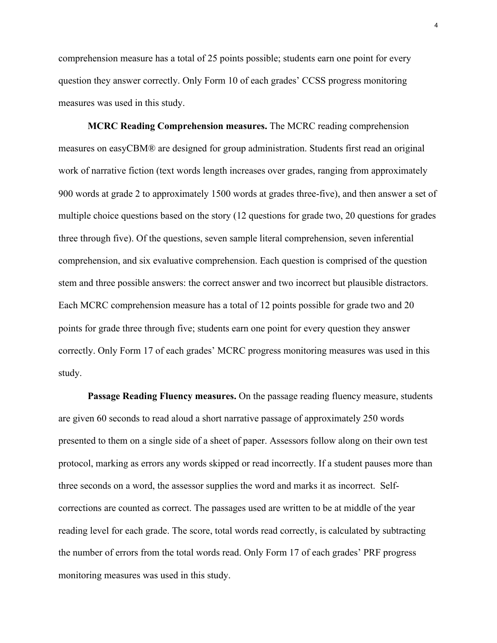comprehension measure has a total of 25 points possible; students earn one point for every question they answer correctly. Only Form 10 of each grades' CCSS progress monitoring measures was used in this study.

**MCRC Reading Comprehension measures.** The MCRC reading comprehension measures on easyCBM® are designed for group administration. Students first read an original work of narrative fiction (text words length increases over grades, ranging from approximately 900 words at grade 2 to approximately 1500 words at grades three-five), and then answer a set of multiple choice questions based on the story (12 questions for grade two, 20 questions for grades three through five). Of the questions, seven sample literal comprehension, seven inferential comprehension, and six evaluative comprehension. Each question is comprised of the question stem and three possible answers: the correct answer and two incorrect but plausible distractors. Each MCRC comprehension measure has a total of 12 points possible for grade two and 20 points for grade three through five; students earn one point for every question they answer correctly. Only Form 17 of each grades' MCRC progress monitoring measures was used in this study.

**Passage Reading Fluency measures.** On the passage reading fluency measure, students are given 60 seconds to read aloud a short narrative passage of approximately 250 words presented to them on a single side of a sheet of paper. Assessors follow along on their own test protocol, marking as errors any words skipped or read incorrectly. If a student pauses more than three seconds on a word, the assessor supplies the word and marks it as incorrect. Selfcorrections are counted as correct. The passages used are written to be at middle of the year reading level for each grade. The score, total words read correctly, is calculated by subtracting the number of errors from the total words read. Only Form 17 of each grades' PRF progress monitoring measures was used in this study.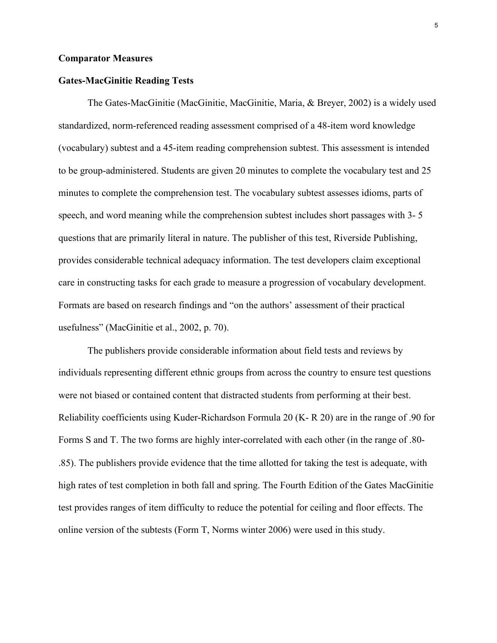#### **Comparator Measures**

#### **Gates-MacGinitie Reading Tests**

The Gates-MacGinitie (MacGinitie, MacGinitie, Maria, & Breyer, 2002) is a widely used standardized, norm-referenced reading assessment comprised of a 48-item word knowledge (vocabulary) subtest and a 45-item reading comprehension subtest. This assessment is intended to be group-administered. Students are given 20 minutes to complete the vocabulary test and 25 minutes to complete the comprehension test. The vocabulary subtest assesses idioms, parts of speech, and word meaning while the comprehension subtest includes short passages with 3- 5 questions that are primarily literal in nature. The publisher of this test, Riverside Publishing, provides considerable technical adequacy information. The test developers claim exceptional care in constructing tasks for each grade to measure a progression of vocabulary development. Formats are based on research findings and "on the authors' assessment of their practical usefulness" (MacGinitie et al., 2002, p. 70).

The publishers provide considerable information about field tests and reviews by individuals representing different ethnic groups from across the country to ensure test questions were not biased or contained content that distracted students from performing at their best. Reliability coefficients using Kuder-Richardson Formula 20 (K- R 20) are in the range of .90 for Forms S and T. The two forms are highly inter-correlated with each other (in the range of .80- .85). The publishers provide evidence that the time allotted for taking the test is adequate, with high rates of test completion in both fall and spring. The Fourth Edition of the Gates MacGinitie test provides ranges of item difficulty to reduce the potential for ceiling and floor effects. The online version of the subtests (Form T, Norms winter 2006) were used in this study.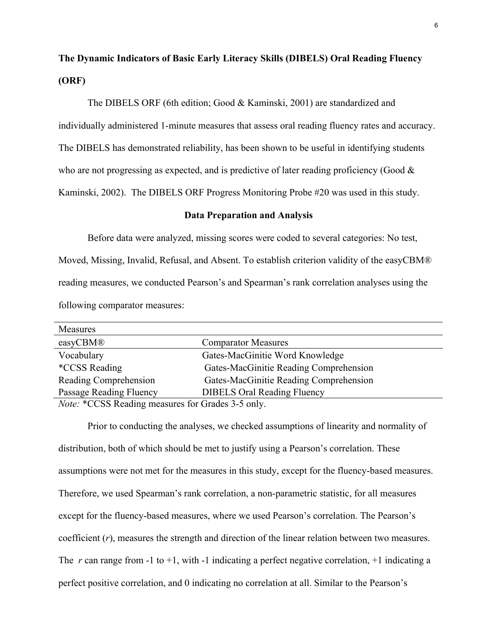# **The Dynamic Indicators of Basic Early Literacy Skills (DIBELS) Oral Reading Fluency (ORF)**

The DIBELS ORF (6th edition; Good & Kaminski, 2001) are standardized and individually administered 1-minute measures that assess oral reading fluency rates and accuracy. The DIBELS has demonstrated reliability, has been shown to be useful in identifying students who are not progressing as expected, and is predictive of later reading proficiency (Good  $\&$ Kaminski, 2002). The DIBELS ORF Progress Monitoring Probe #20 was used in this study.

#### **Data Preparation and Analysis**

Before data were analyzed, missing scores were coded to several categories: No test, Moved, Missing, Invalid, Refusal, and Absent. To establish criterion validity of the easyCBM® reading measures, we conducted Pearson's and Spearman's rank correlation analyses using the following comparator measures:

| Measures                                                                                                             |                                        |  |
|----------------------------------------------------------------------------------------------------------------------|----------------------------------------|--|
| easyCBM®                                                                                                             | <b>Comparator Measures</b>             |  |
| Vocabulary                                                                                                           | Gates-MacGinitie Word Knowledge        |  |
| <i>*CCSS Reading</i>                                                                                                 | Gates-MacGinitie Reading Comprehension |  |
| Reading Comprehension                                                                                                | Gates-MacGinitie Reading Comprehension |  |
| Passage Reading Fluency                                                                                              | <b>DIBELS Oral Reading Fluency</b>     |  |
| $\mathbf{v}$ $\mathbf{v}$ $\mathbf{v}$ $\mathbf{v}$ $\mathbf{v}$ $\mathbf{v}$ $\mathbf{v}$ $\mathbf{v}$ $\mathbf{v}$ |                                        |  |

*Note:* \*CCSS Reading measures for Grades 3-5 only.

Prior to conducting the analyses, we checked assumptions of linearity and normality of distribution, both of which should be met to justify using a Pearson's correlation. These assumptions were not met for the measures in this study, except for the fluency-based measures. Therefore, we used Spearman's rank correlation, a non-parametric statistic, for all measures except for the fluency-based measures, where we used Pearson's correlation. The Pearson's coefficient (*r*), measures the strength and direction of the linear relation between two measures. The  $r$  can range from -1 to +1, with -1 indicating a perfect negative correlation, +1 indicating a perfect positive correlation, and 0 indicating no correlation at all. Similar to the Pearson's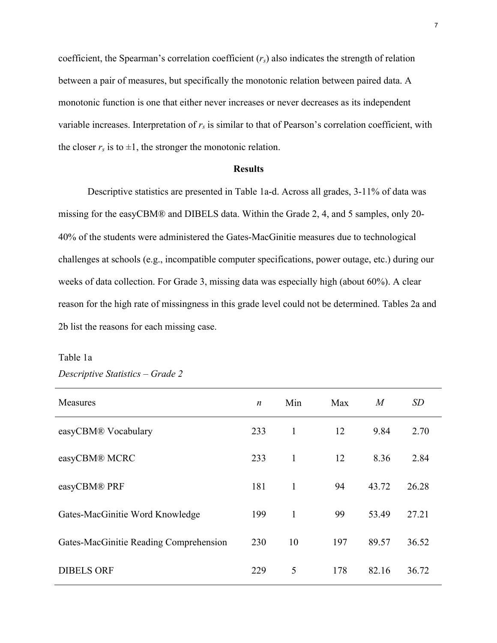coefficient, the Spearman's correlation coefficient (*rs*) also indicates the strength of relation between a pair of measures, but specifically the monotonic relation between paired data. A monotonic function is one that either never increases or never decreases as its independent variable increases. Interpretation of  $r<sub>s</sub>$  is similar to that of Pearson's correlation coefficient, with the closer  $r_s$  is to  $\pm 1$ , the stronger the monotonic relation.

#### **Results**

Descriptive statistics are presented in Table 1a-d. Across all grades, 3-11% of data was missing for the easyCBM® and DIBELS data. Within the Grade 2, 4, and 5 samples, only 20- 40% of the students were administered the Gates-MacGinitie measures due to technological challenges at schools (e.g., incompatible computer specifications, power outage, etc.) during our weeks of data collection. For Grade 3, missing data was especially high (about 60%). A clear reason for the high rate of missingness in this grade level could not be determined. Tables 2a and 2b list the reasons for each missing case.

# Table 1a *Descriptive Statistics – Grade 2*

| Measures                               | $\boldsymbol{n}$ | Min | Max | $\boldsymbol{M}$ | SD    |
|----------------------------------------|------------------|-----|-----|------------------|-------|
| easyCBM® Vocabulary                    | 233              | 1   | 12  | 9.84             | 2.70  |
| easyCBM® MCRC                          | 233              | 1   | 12  | 8.36             | 2.84  |
| easyCBM® PRF                           | 181              | 1   | 94  | 43.72            | 26.28 |
| Gates-MacGinitie Word Knowledge        | 199              | 1   | 99  | 53.49            | 27.21 |
| Gates-MacGinitie Reading Comprehension | 230              | 10  | 197 | 89.57            | 36.52 |
| <b>DIBELS ORF</b>                      | 229              | 5   | 178 | 82.16            | 36.72 |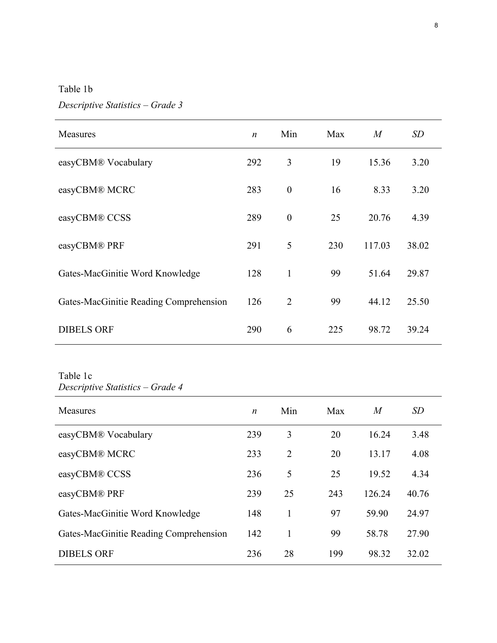Table 1b

# *Descriptive Statistics – Grade 3*

| Measures                               | $\boldsymbol{n}$ | Min              | Max | $\overline{M}$ | SD    |
|----------------------------------------|------------------|------------------|-----|----------------|-------|
| easyCBM® Vocabulary                    | 292              | 3                | 19  | 15.36          | 3.20  |
| easyCBM® MCRC                          | 283              | $\boldsymbol{0}$ | 16  | 8.33           | 3.20  |
| easyCBM® CCSS                          | 289              | $\boldsymbol{0}$ | 25  | 20.76          | 4.39  |
| easyCBM® PRF                           | 291              | 5                | 230 | 117.03         | 38.02 |
| Gates-MacGinitie Word Knowledge        | 128              | $\mathbf{1}$     | 99  | 51.64          | 29.87 |
| Gates-MacGinitie Reading Comprehension | 126              | $\overline{2}$   | 99  | 44.12          | 25.50 |
| <b>DIBELS ORF</b>                      | 290              | 6                | 225 | 98.72          | 39.24 |

Table 1c *Descriptive Statistics – Grade 4*

| Measures                               | n   | Min            | Max | $\overline{M}$ | <i>SD</i> |
|----------------------------------------|-----|----------------|-----|----------------|-----------|
| easyCBM® Vocabulary                    | 239 | 3              | 20  | 16.24          | 3.48      |
| easyCBM® MCRC                          | 233 | $\overline{2}$ | 20  | 13.17          | 4.08      |
| easyCBM® CCSS                          | 236 | 5              | 25  | 19.52          | 4.34      |
| easyCBM® PRF                           | 239 | 25             | 243 | 126.24         | 40.76     |
| Gates-MacGinitie Word Knowledge        | 148 | 1              | 97  | 59.90          | 24.97     |
| Gates-MacGinitie Reading Comprehension | 142 | 1              | 99  | 58.78          | 27.90     |
| <b>DIBELS ORF</b>                      | 236 | 28             | 199 | 98.32          | 32.02     |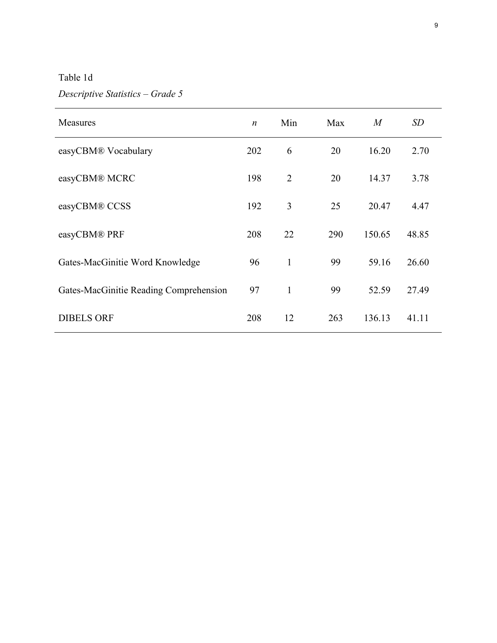# Table 1d

# *Descriptive Statistics – Grade 5*

| Measures                               | $\boldsymbol{n}$ | Min            | Max | $\boldsymbol{M}$ | SD    |
|----------------------------------------|------------------|----------------|-----|------------------|-------|
| easyCBM® Vocabulary                    | 202              | 6              | 20  | 16.20            | 2.70  |
| easyCBM® MCRC                          | 198              | $\overline{2}$ | 20  | 14.37            | 3.78  |
| easyCBM® CCSS                          | 192              | 3              | 25  | 20.47            | 4.47  |
| easyCBM® PRF                           | 208              | 22             | 290 | 150.65           | 48.85 |
| Gates-MacGinitie Word Knowledge        | 96               | $\mathbf{1}$   | 99  | 59.16            | 26.60 |
| Gates-MacGinitie Reading Comprehension | 97               | $\mathbf{1}$   | 99  | 52.59            | 27.49 |
| <b>DIBELS ORF</b>                      | 208              | 12             | 263 | 136.13           | 41.11 |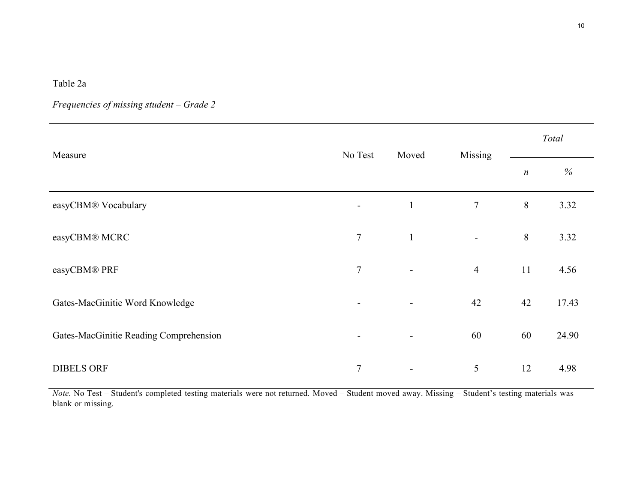Table 2a

*Frequencies of missing student – Grade 2*

| Measure                                | No Test        | Moved                    | Missing        | Total            |       |  |
|----------------------------------------|----------------|--------------------------|----------------|------------------|-------|--|
|                                        |                |                          |                | $\boldsymbol{n}$ | $\%$  |  |
| easyCBM® Vocabulary                    | $\blacksquare$ | $\mathbf{1}$             | $\overline{7}$ | $8\,$            | 3.32  |  |
| easyCBM® MCRC                          | $\tau$         | $\mathbf{1}$             | $\blacksquare$ | 8                | 3.32  |  |
| easyCBM® PRF                           | $\tau$         | $\overline{\phantom{a}}$ | $\overline{4}$ | 11               | 4.56  |  |
| Gates-MacGinitie Word Knowledge        | $\blacksquare$ | -                        | 42             | 42               | 17.43 |  |
| Gates-MacGinitie Reading Comprehension | $\blacksquare$ | $\blacksquare$           | 60             | 60               | 24.90 |  |
| <b>DIBELS ORF</b>                      | $\overline{7}$ |                          | 5              | 12               | 4.98  |  |

*Note.* No Test – Student's completed testing materials were not returned. Moved – Student moved away. Missing – Student's testing materials was blank or missing.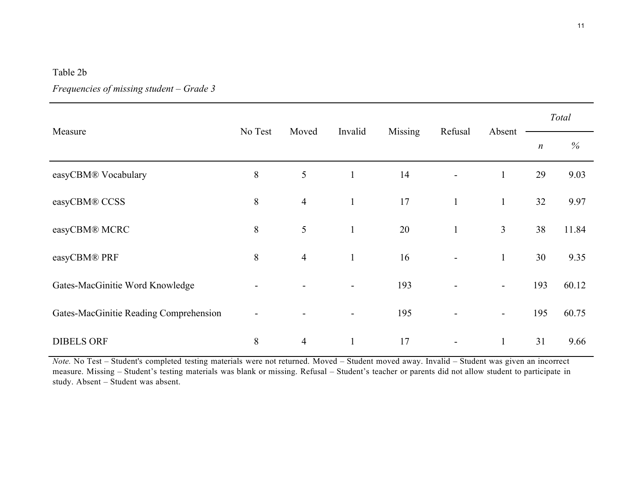#### Table 2b

## *Frequencies of missing student – Grade 3*

|                                        | No Test |                | Invalid      | Missing | Refusal                  | Absent                   | Total            |       |
|----------------------------------------|---------|----------------|--------------|---------|--------------------------|--------------------------|------------------|-------|
| Measure                                |         | Moved          |              |         |                          |                          | $\boldsymbol{n}$ | $\%$  |
| easyCBM® Vocabulary                    | 8       | 5              | $\mathbf{1}$ | 14      |                          | $\mathbf{1}$             | 29               | 9.03  |
| easyCBM® CCSS                          | $8\,$   | $\overline{4}$ | $\mathbf{1}$ | 17      | $\mathbf{1}$             | $\mathbf{1}$             | 32               | 9.97  |
| easyCBM® MCRC                          | $8\,$   | 5              | $\mathbf{1}$ | 20      | $\mathbf{1}$             | $\mathfrak{Z}$           | 38               | 11.84 |
| easyCBM® PRF                           | $\,8\,$ | $\overline{4}$ | $\mathbf{1}$ | 16      | $\overline{\phantom{0}}$ | $\mathbf{1}$             | 30               | 9.35  |
| Gates-MacGinitie Word Knowledge        |         |                |              | 193     |                          | $\overline{\phantom{a}}$ | 193              | 60.12 |
| Gates-MacGinitie Reading Comprehension |         |                |              | 195     |                          | $\overline{\phantom{a}}$ | 195              | 60.75 |
| <b>DIBELS ORF</b>                      | $8\,$   | $\overline{4}$ | $\mathbf{1}$ | 17      |                          | $\mathbf{1}$             | 31               | 9.66  |

*Note.* No Test – Student's completed testing materials were not returned. Moved – Student moved away. Invalid – Student was given an incorrect measure. Missing – Student's testing materials was blank or missing. Refusal – Student's teacher or parents did not allow student to participate in study. Absent – Student was absent.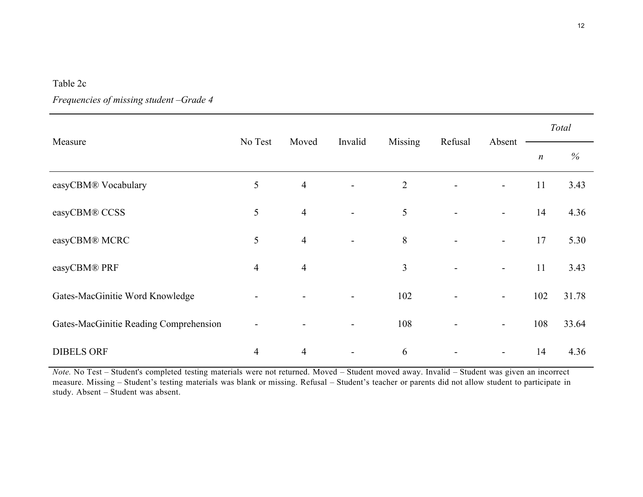### Table 2c

| Frequencies of missing student -Grade 4 |  |  |  |  |  |
|-----------------------------------------|--|--|--|--|--|
|-----------------------------------------|--|--|--|--|--|

|                                        |                |                | Invalid                  | Missing        | Refusal | Absent                   | Total            |       |
|----------------------------------------|----------------|----------------|--------------------------|----------------|---------|--------------------------|------------------|-------|
| Measure                                | No Test        | Moved          |                          |                |         |                          | $\boldsymbol{n}$ | %     |
| easyCBM® Vocabulary                    | 5              | $\overline{4}$ | $\blacksquare$           | $\overline{2}$ |         | $\blacksquare$           | 11               | 3.43  |
| easyCBM® CCSS                          | 5              | $\overline{4}$ | $\overline{\phantom{a}}$ | 5              |         | $\overline{\phantom{a}}$ | 14               | 4.36  |
| easyCBM® MCRC                          | 5              | $\overline{4}$ | $\blacksquare$           | 8              |         | $\blacksquare$           | 17               | 5.30  |
| easyCBM® PRF                           | $\overline{4}$ | $\overline{4}$ |                          | $\overline{3}$ |         | $\overline{\phantom{a}}$ | 11               | 3.43  |
| Gates-MacGinitie Word Knowledge        | $\blacksquare$ |                |                          | 102            |         | $\blacksquare$           | 102              | 31.78 |
| Gates-MacGinitie Reading Comprehension | $\blacksquare$ |                | $\blacksquare$           | 108            |         | $\overline{\phantom{a}}$ | 108              | 33.64 |
| <b>DIBELS ORF</b>                      | $\overline{4}$ | $\overline{4}$ |                          | 6              |         | $\overline{\phantom{a}}$ | 14               | 4.36  |

*Note.* No Test – Student's completed testing materials were not returned. Moved – Student moved away. Invalid – Student was given an incorrect measure. Missing – Student's testing materials was blank or missing. Refusal – Student's teacher or parents did not allow student to participate in study. Absent – Student was absent.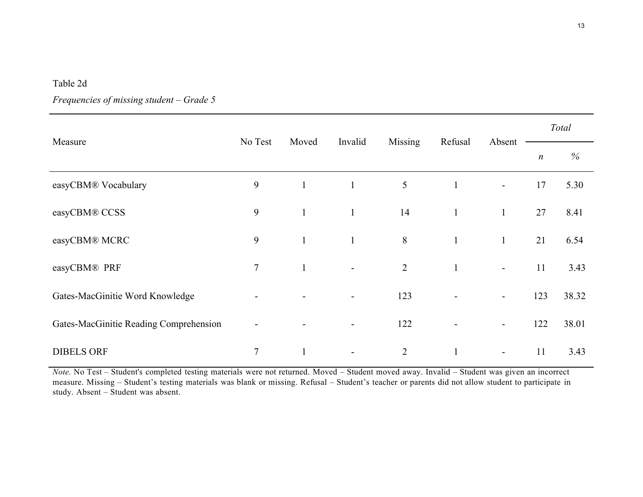### Table 2d

|                                        |                |              | Invalid                  | Missing        | Refusal      | Absent                   | Total            |       |
|----------------------------------------|----------------|--------------|--------------------------|----------------|--------------|--------------------------|------------------|-------|
| Measure                                | No Test        | Moved        |                          |                |              |                          | $\boldsymbol{n}$ | $\%$  |
| easyCBM® Vocabulary                    | 9              | $\mathbf{1}$ | $\mathbf{1}$             | 5              | $\mathbf{1}$ | $\blacksquare$           | 17               | 5.30  |
| easyCBM® CCSS                          | 9              | $\mathbf{1}$ | $\mathbf{1}$             | 14             | $\mathbf{1}$ | $\mathbf{1}$             | 27               | 8.41  |
| easyCBM® MCRC                          | 9              | $\mathbf{1}$ | $\mathbf{1}$             | 8              | $\mathbf{1}$ | $\mathbf{1}$             | 21               | 6.54  |
| easyCBM® PRF                           | 7              | $\mathbf{1}$ | $\overline{\phantom{a}}$ | 2              | $\mathbf{1}$ | $\overline{\phantom{a}}$ | 11               | 3.43  |
| Gates-MacGinitie Word Knowledge        |                |              |                          | 123            |              | $\blacksquare$           | 123              | 38.32 |
| Gates-MacGinitie Reading Comprehension |                |              |                          | 122            |              | $\overline{\phantom{a}}$ | 122              | 38.01 |
| <b>DIBELS ORF</b>                      | $\overline{7}$ |              |                          | $\overline{2}$ |              | $\blacksquare$           | 11               | 3.43  |

*Frequencies of missing student – Grade 5*

*Note.* No Test – Student's completed testing materials were not returned. Moved – Student moved away. Invalid – Student was given an incorrect measure. Missing – Student's testing materials was blank or missing. Refusal – Student's teacher or parents did not allow student to participate in study. Absent – Student was absent.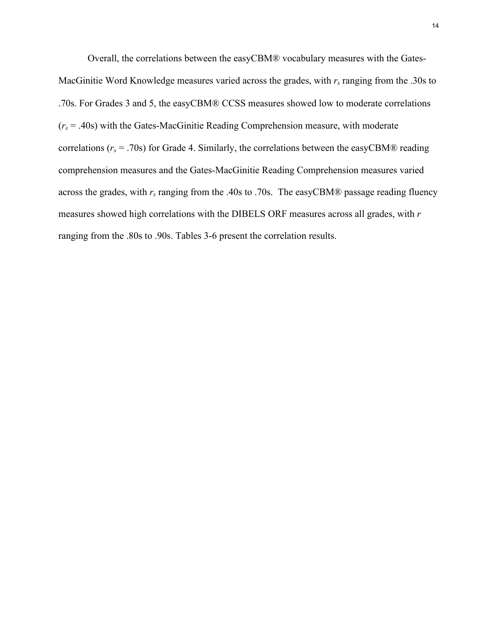Overall, the correlations between the easyCBM® vocabulary measures with the Gates-MacGinitie Word Knowledge measures varied across the grades, with  $r_s$  ranging from the .30s to .70s. For Grades 3 and 5, the easyCBM® CCSS measures showed low to moderate correlations (*rs* = .40s) with the Gates-MacGinitie Reading Comprehension measure, with moderate correlations ( $r_s$  = .70s) for Grade 4. Similarly, the correlations between the easyCBM® reading comprehension measures and the Gates-MacGinitie Reading Comprehension measures varied across the grades, with  $r_s$  ranging from the .40s to .70s. The easyCBM® passage reading fluency measures showed high correlations with the DIBELS ORF measures across all grades, with *r*  ranging from the .80s to .90s. Tables 3-6 present the correlation results.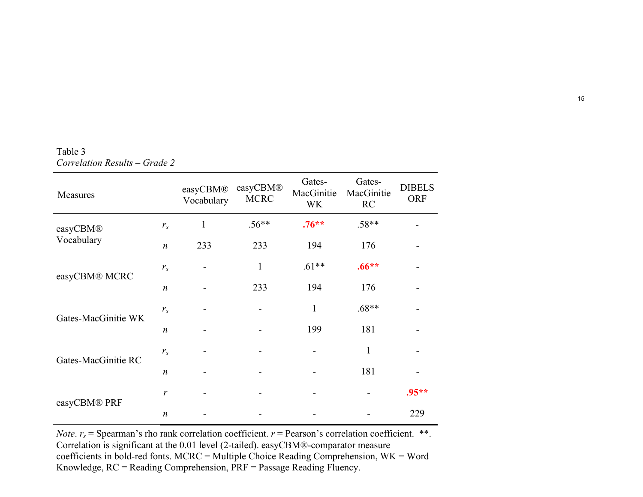| Measures            |                  | easyCBM®<br>Vocabulary | easyCBM®<br><b>MCRC</b>      | Gates-<br>MacGinitie<br><b>WK</b> | Gates-<br>MacGinitie<br><b>RC</b> | <b>DIBELS</b><br><b>ORF</b> |
|---------------------|------------------|------------------------|------------------------------|-----------------------------------|-----------------------------------|-----------------------------|
| easyCBM®            | $r_{s}$          | $\mathbf{1}$           | $.56**$                      | $.76***$                          | $.58**$                           |                             |
| Vocabulary          | $\boldsymbol{n}$ | 233                    | 233                          | 194                               | 176                               |                             |
|                     | $r_{s}$          |                        | $\mathbf{1}$                 | $.61**$                           | $.66**$                           |                             |
| easyCBM® MCRC       | $\boldsymbol{n}$ |                        | 233                          | 194                               | 176                               |                             |
|                     | $r_{s}$          |                        | $\qquad \qquad \blacksquare$ | $\mathbf{1}$                      | $.68**$                           |                             |
| Gates-MacGinitie WK | $\boldsymbol{n}$ |                        |                              | 199                               | 181                               |                             |
|                     | $r_{s}$          |                        |                              |                                   | 1                                 |                             |
| Gates-MacGinitie RC | $\boldsymbol{n}$ |                        |                              |                                   | 181                               |                             |
|                     | r                |                        |                              |                                   |                                   | $.95**$                     |
| easyCBM® PRF        | $\boldsymbol{n}$ |                        |                              |                                   |                                   | 229                         |

Table 3 *Correlation Results – Grade 2*

*Note.*  $r_s$  = Spearman's rho rank correlation coefficient.  $r$  = Pearson's correlation coefficient. \*\*. Correlation is significant at the 0.01 level (2-tailed). easyCBM®-comparator measure coefficients in bold-red fonts. MCRC = Multiple Choice Reading Comprehension, WK = Word Knowledge, RC = Reading Comprehension, PRF = Passage Reading Fluency.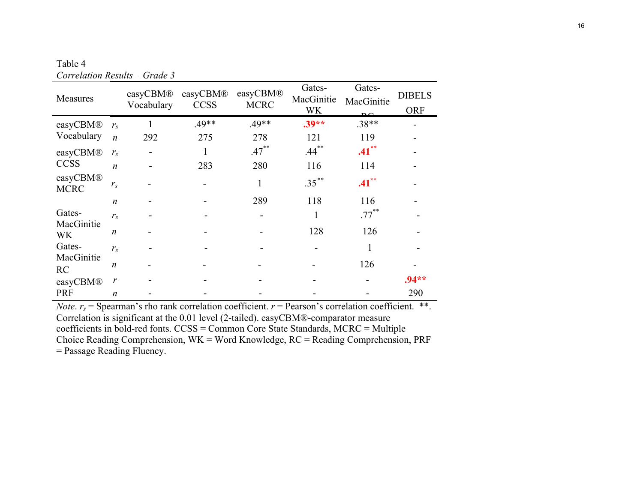Table 4 *Correlation Results – Grade 3*

| Measures                |                  | easyCBM®<br>Vocabulary | easyCBM®<br><b>CCSS</b> | easyCBM®<br><b>MCRC</b> | Gates-<br>MacGinitie<br><b>WK</b> | Gates-<br>MacGinitie<br>$\mathbf{p}$ $\alpha$ | <b>DIBELS</b><br><b>ORF</b> |
|-------------------------|------------------|------------------------|-------------------------|-------------------------|-----------------------------------|-----------------------------------------------|-----------------------------|
| easyCBM®                | $r_{s}$          |                        | $.49**$                 | $.49**$                 | $.39**$                           | $.38**$                                       |                             |
| Vocabulary              | $\boldsymbol{n}$ | 292                    | 275                     | 278                     | 121                               | 119                                           |                             |
| easyCBM®                | $r_{s}$          |                        |                         | $.47***$                | $.44***$                          | $.41***$                                      |                             |
| <b>CCSS</b>             | $\boldsymbol{n}$ |                        | 283                     | 280                     | 116                               | 114                                           |                             |
| easyCBM®<br><b>MCRC</b> | $r_{s}$          |                        |                         | 1                       | $.35***$                          | $.41***$                                      |                             |
|                         | $\boldsymbol{n}$ |                        |                         | 289                     | 118                               | 116                                           |                             |
| Gates-                  | $r_{s}$          |                        |                         |                         | 1                                 | $.77***$                                      |                             |
| MacGinitie<br><b>WK</b> | $\boldsymbol{n}$ |                        |                         |                         | 128                               | 126                                           |                             |
| Gates-                  | $r_{s}$          |                        |                         |                         |                                   |                                               |                             |
| MacGinitie<br>RC        | $\boldsymbol{n}$ |                        |                         |                         |                                   | 126                                           |                             |
| easyCBM®                | $\mathcal{V}$    |                        |                         |                         |                                   |                                               | $.94**$                     |
| <b>PRF</b>              | n                |                        |                         |                         |                                   |                                               | 290                         |

*Note.*  $r_s$  = Spearman's rho rank correlation coefficient.  $r$  = Pearson's correlation coefficient. \*\*. Correlation is significant at the 0.01 level (2-tailed). easyCBM®-comparator measure coefficients in bold-red fonts. CCSS = Common Core State Standards, MCRC = Multiple Choice Reading Comprehension, WK = Word Knowledge, RC = Reading Comprehension, PRF = Passage Reading Fluency.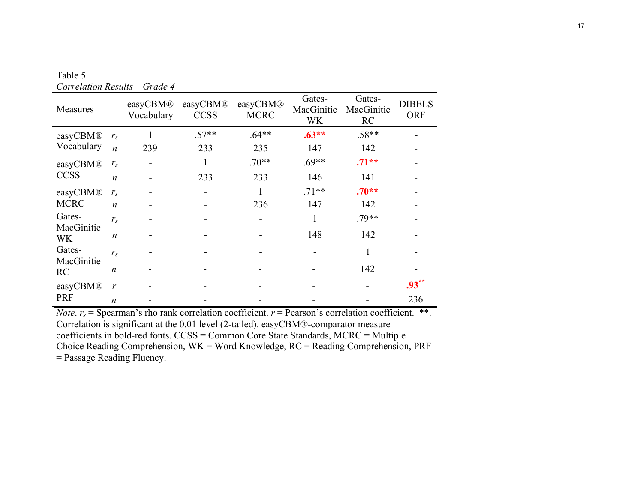| Measures                                                               |                  | easyCBM®<br>Vocabulary | easyCBM®<br><b>CCSS</b> | easyCBM®<br><b>MCRC</b> | Gates-<br>MacGinitie<br><b>WK</b> | Gates-<br>MacGinitie<br><b>RC</b> | <b>DIBELS</b><br><b>ORF</b> |
|------------------------------------------------------------------------|------------------|------------------------|-------------------------|-------------------------|-----------------------------------|-----------------------------------|-----------------------------|
| easyCBM®<br>Vocabulary                                                 | $r_{s}$          |                        | $.57**$                 | $.64**$                 | $.63**$                           | $.58**$                           |                             |
|                                                                        | $\boldsymbol{n}$ | 239                    | 233                     | 235                     | 147                               | 142                               |                             |
| easyCBM®<br><b>CCSS</b>                                                | $r_{s}$          |                        |                         | $.70**$                 | $.69**$                           | $.71**$                           |                             |
|                                                                        | $\boldsymbol{n}$ |                        | 233                     | 233                     | 146                               | 141                               |                             |
| easyCBM®<br><b>MCRC</b>                                                | $r_{s}$          |                        |                         | 1                       | $.71**$                           | $.70**$                           |                             |
|                                                                        | $\boldsymbol{n}$ |                        |                         | 236                     | 147                               | 142                               |                             |
| Gates-<br>MacGinitie<br><b>WK</b><br>Gates-<br>MacGinitie<br><b>RC</b> | $r_{s}$          |                        |                         |                         |                                   | $.79**$                           |                             |
|                                                                        | $\boldsymbol{n}$ |                        |                         |                         | 148                               | 142                               |                             |
|                                                                        | $r_{s}$          |                        |                         |                         |                                   |                                   |                             |
|                                                                        | n                |                        |                         |                         |                                   | 142                               |                             |
| easyCBM®<br><b>PRF</b>                                                 | $\mathbf{r}$     |                        |                         |                         |                                   |                                   | $.93***$                    |
|                                                                        | n                |                        |                         |                         |                                   |                                   | 236                         |

Table 5 *Correlation Results – Grade 4*

*Note.*  $r_s$  = Spearman's rho rank correlation coefficient.  $r$  = Pearson's correlation coefficient. \*\*. Correlation is significant at the 0.01 level (2-tailed). easyCBM®-comparator measure coefficients in bold-red fonts. CCSS = Common Core State Standards, MCRC = Multiple Choice Reading Comprehension, WK = Word Knowledge, RC = Reading Comprehension, PRF = Passage Reading Fluency.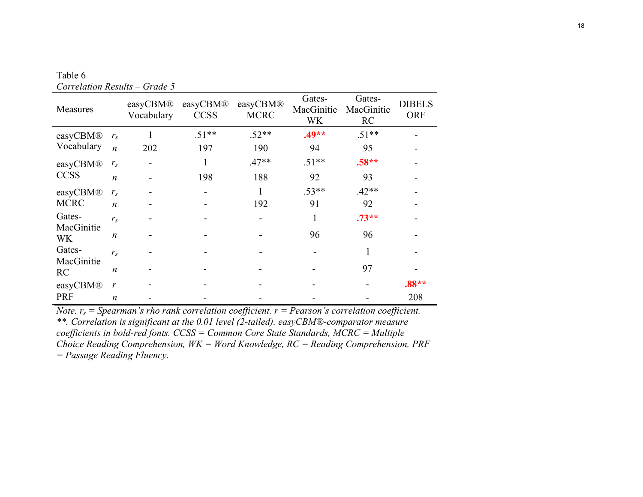| Measures                                                        |                  | easyCBM®<br>Vocabulary | easyCBM®<br><b>CCSS</b> | easyCBM®<br><b>MCRC</b> | Gates-<br>MacGinitie<br><b>WK</b> | Gates-<br>MacGinitie<br>RC | <b>DIBELS</b><br><b>ORF</b> |
|-----------------------------------------------------------------|------------------|------------------------|-------------------------|-------------------------|-----------------------------------|----------------------------|-----------------------------|
| easyCBM®<br>Vocabulary                                          | $r_{\rm s}$      |                        | $.51**$                 | $.52**$                 | $.49**$                           | $.51**$                    |                             |
|                                                                 | $\boldsymbol{n}$ | 202                    | 197                     | 190                     | 94                                | 95                         |                             |
| easyCBM®<br><b>CCSS</b>                                         | $r_{s}$          |                        |                         | $.47**$                 | $.51**$                           | $.58**$                    |                             |
|                                                                 | $\boldsymbol{n}$ |                        | 198                     | 188                     | 92                                | 93                         |                             |
| easyCBM®<br><b>MCRC</b>                                         | $r_{s}$          |                        |                         | 1                       | $.53**$                           | $.42**$                    |                             |
|                                                                 | $\boldsymbol{n}$ |                        |                         | 192                     | 91                                | 92                         |                             |
| Gates-<br>MacGinitie<br><b>WK</b><br>Gates-<br>MacGinitie<br>RC | $r_{s}$          |                        |                         |                         |                                   | $.73**$                    |                             |
|                                                                 | n                |                        |                         |                         | 96                                | 96                         |                             |
|                                                                 | $r_{\rm s}$      |                        |                         |                         |                                   |                            |                             |
|                                                                 | n                |                        |                         |                         |                                   | 97                         |                             |
| easyCBM®                                                        | $\mathbf{r}$     |                        |                         |                         |                                   |                            | $.88**$                     |
| <b>PRF</b>                                                      | n                |                        |                         |                         |                                   |                            | 208                         |

Table 6 *Correlation Results – Grade 5*

*Note.*  $r_s$  = *Spearman's rho rank correlation coefficient.*  $r$  = *Pearson's correlation coefficient. \*\*. Correlation is significant at the 0.01 level (2-tailed). easyCBM®-comparator measure coefficients in bold-red fonts. CCSS = Common Core State Standards, MCRC = Multiple Choice Reading Comprehension, WK = Word Knowledge, RC = Reading Comprehension, PRF = Passage Reading Fluency.*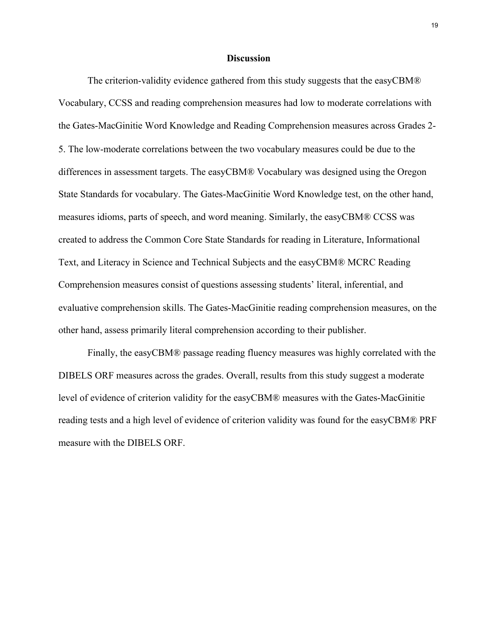#### **Discussion**

The criterion-validity evidence gathered from this study suggests that the easyCBM® Vocabulary, CCSS and reading comprehension measures had low to moderate correlations with the Gates-MacGinitie Word Knowledge and Reading Comprehension measures across Grades 2- 5. The low-moderate correlations between the two vocabulary measures could be due to the differences in assessment targets. The easyCBM® Vocabulary was designed using the Oregon State Standards for vocabulary. The Gates-MacGinitie Word Knowledge test, on the other hand, measures idioms, parts of speech, and word meaning. Similarly, the easyCBM® CCSS was created to address the Common Core State Standards for reading in Literature, Informational Text, and Literacy in Science and Technical Subjects and the easyCBM® MCRC Reading Comprehension measures consist of questions assessing students' literal, inferential, and evaluative comprehension skills. The Gates-MacGinitie reading comprehension measures, on the other hand, assess primarily literal comprehension according to their publisher.

Finally, the easyCBM® passage reading fluency measures was highly correlated with the DIBELS ORF measures across the grades. Overall, results from this study suggest a moderate level of evidence of criterion validity for the easyCBM® measures with the Gates-MacGinitie reading tests and a high level of evidence of criterion validity was found for the easyCBM® PRF measure with the DIBELS ORF.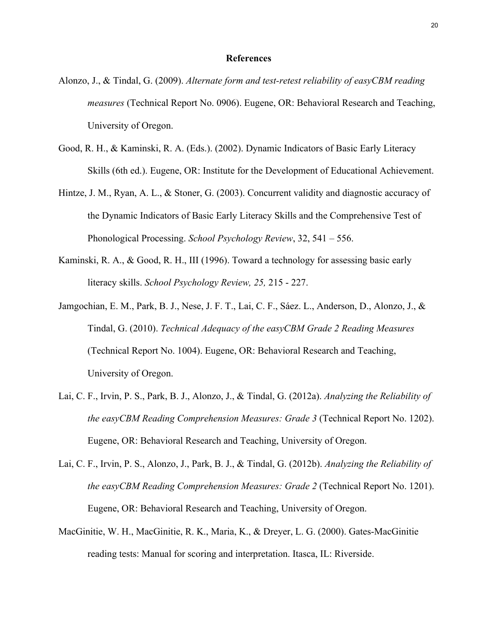#### **References**

- Alonzo, J., & Tindal, G. (2009). *Alternate form and test-retest reliability of easyCBM reading measures* (Technical Report No. 0906). Eugene, OR: Behavioral Research and Teaching, University of Oregon.
- Good, R. H., & Kaminski, R. A. (Eds.). (2002). Dynamic Indicators of Basic Early Literacy Skills (6th ed.). Eugene, OR: Institute for the Development of Educational Achievement.
- Hintze, J. M., Ryan, A. L., & Stoner, G. (2003). Concurrent validity and diagnostic accuracy of the Dynamic Indicators of Basic Early Literacy Skills and the Comprehensive Test of Phonological Processing. *School Psychology Review*, 32, 541 – 556.
- Kaminski, R. A., & Good, R. H., III (1996). Toward a technology for assessing basic early literacy skills. *School Psychology Review, 25,* 215 - 227.
- Jamgochian, E. M., Park, B. J., Nese, J. F. T., Lai, C. F., Sáez. L., Anderson, D., Alonzo, J., & Tindal, G. (2010). *Technical Adequacy of the easyCBM Grade 2 Reading Measures*  (Technical Report No. 1004). Eugene, OR: Behavioral Research and Teaching, University of Oregon.
- Lai, C. F., Irvin, P. S., Park, B. J., Alonzo, J., & Tindal, G. (2012a). *Analyzing the Reliability of the easyCBM Reading Comprehension Measures: Grade 3* (Technical Report No. 1202). Eugene, OR: Behavioral Research and Teaching, University of Oregon.
- Lai, C. F., Irvin, P. S., Alonzo, J., Park, B. J., & Tindal, G. (2012b). *Analyzing the Reliability of the easyCBM Reading Comprehension Measures: Grade 2* (Technical Report No. 1201). Eugene, OR: Behavioral Research and Teaching, University of Oregon.
- MacGinitie, W. H., MacGinitie, R. K., Maria, K., & Dreyer, L. G. (2000). Gates-MacGinitie reading tests: Manual for scoring and interpretation. Itasca, IL: Riverside.